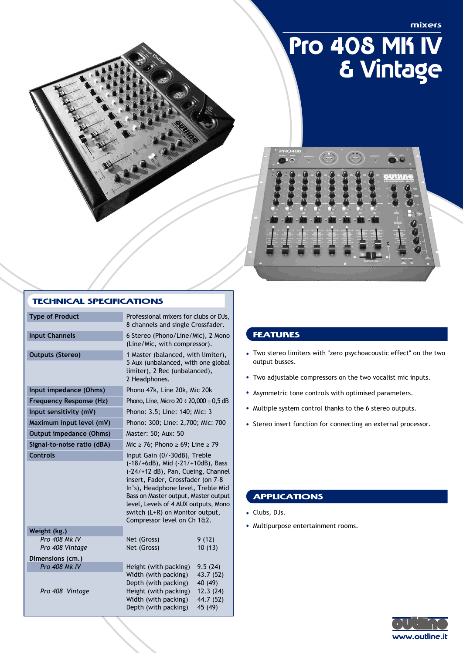mixers

# **Pro 408 MK IV** & Vintage



| <b>TECHNICAL SPECIFICATIONS</b>  |                                                                                                                                                                                                                                                                                                                                      |                                                          |
|----------------------------------|--------------------------------------------------------------------------------------------------------------------------------------------------------------------------------------------------------------------------------------------------------------------------------------------------------------------------------------|----------------------------------------------------------|
| <b>Type of Product</b>           | Professional mixers for clubs or DJs,<br>8 channels and single Crossfader.                                                                                                                                                                                                                                                           |                                                          |
| <b>Input Channels</b>            | 6 Stereo (Phono/Line/Mic), 2 Mono<br>(Line/Mic, with compressor).                                                                                                                                                                                                                                                                    |                                                          |
| <b>Outputs (Stereo)</b>          | 1 Master (balanced, with limiter),<br>5 Aux (unbalanced, with one global<br>limiter), 2 Rec (unbalanced),<br>2 Headphones.                                                                                                                                                                                                           |                                                          |
| Input impedance (Ohms)           | Phono 47k, Line 20k, Mic 20k                                                                                                                                                                                                                                                                                                         |                                                          |
| Frequency Response (Hz)          | Phono, Line, Micro $20 \div 20,000 \pm 0,5$ dB                                                                                                                                                                                                                                                                                       |                                                          |
| Input sensitivity (mV)           | Phono: 3.5; Line: 140; Mic: 3                                                                                                                                                                                                                                                                                                        |                                                          |
| Maximum input level (mV)         | Phono: 300; Line: 2,700; Mic: 700                                                                                                                                                                                                                                                                                                    |                                                          |
| <b>Output impedance (Ohms)</b>   | Master: 50; Aux: 50                                                                                                                                                                                                                                                                                                                  |                                                          |
| Signal-to-noise ratio (dBA)      | Mic $\geq$ 76; Phono $\geq$ 69; Line $\geq$ 79                                                                                                                                                                                                                                                                                       |                                                          |
| <b>Controls</b>                  | Input Gain (0/-30dB), Treble<br>(-18/+6dB), Mid (-21/+10dB), Bass<br>(-24/+12 dB), Pan, Cueing, Channel<br>insert, Fader, Crossfader (on 7-8<br>In's), Headphone level, Treble Mid<br>Bass on Master output, Master output<br>level, Levels of 4 AUX outputs, Mono<br>switch (L+R) on Monitor output,<br>Compressor level on Ch 1&2. |                                                          |
| Weight (kg.)                     |                                                                                                                                                                                                                                                                                                                                      |                                                          |
| Pro 408 Mk IV<br>Pro 408 Vintage | Net (Gross)<br>Net (Gross)                                                                                                                                                                                                                                                                                                           | 9(12)<br>10(13)                                          |
| Dimensions (cm.)                 |                                                                                                                                                                                                                                                                                                                                      |                                                          |
| Pro 408 Mk IV                    | Height (with packing)                                                                                                                                                                                                                                                                                                                | 9.5(24)                                                  |
| Pro 408 Vintage                  | Width (with packing)<br>Depth (with packing)<br>Height (with packing)<br>Width (with packing)<br>Depth (with packing)                                                                                                                                                                                                                | 43.7 (52)<br>40 (49)<br>12.3(24)<br>44.7 (52)<br>45 (49) |

## **FEATURES**

- Two stereo limiters with "zero psychoacoustic effect" on the two output busses.
- Two adjustable compressors on the two vocalist mic inputs.
- Asymmetric tone controls with optimised parameters.
- Multiple system control thanks to the 6 stereo outputs.
- Stereo insert function for connecting an external processor.

### **APPLICATIONS**

- Clubs, DJs.
- Multipurpose entertainment rooms.